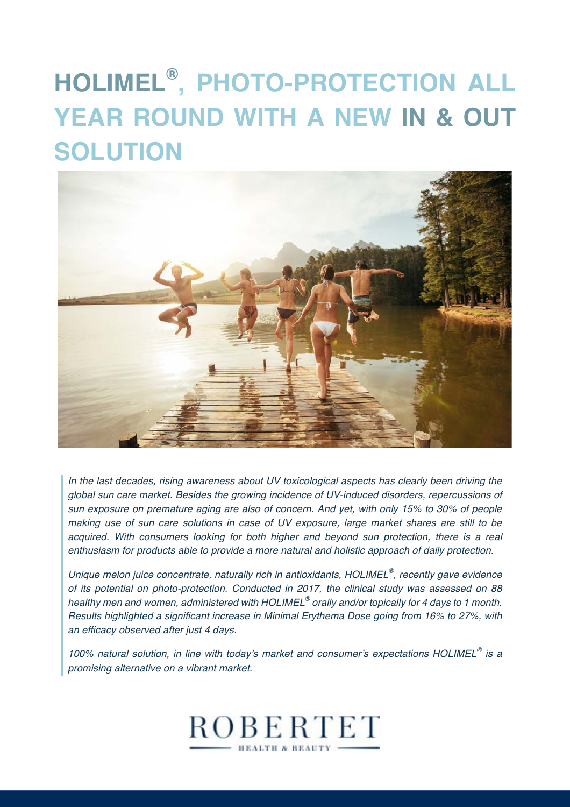# **HOLIMEL® , PHOTO-PROTECTION ALL YEAR ROUND WITH A NEW IN & OUT SOLUTION**



*In the last decades, rising awareness about UV toxicological aspects has clearly been driving the global sun care market. Besides the growing incidence of UV-induced disorders, repercussions of sun exposure on premature aging are also of concern. And yet, with only 15% to 30% of people making use of sun care solutions in case of UV exposure, large market shares are still to be acquired. With consumers looking for both higher and beyond sun protection, there is a real enthusiasm for products able to provide a more natural and holistic approach of daily protection.*

*Unique melon juice concentrate, naturally rich in antioxidants, HOLIMEL®, recently gave evidence of its potential on photo-protection. Conducted in 2017, the clinical study was assessed on 88 healthy men and women, administered with HOLIMEL® orally and/or topically for 4 days to 1 month. Results highlighted a significant increase in Minimal Erythema Dose going from 16% to 27%, with an efficacy observed after just 4 days.* 

*100% natural solution, in line with today's market and consumer's expectations HOLIMEL® is a promising alternative on a vibrant market.*

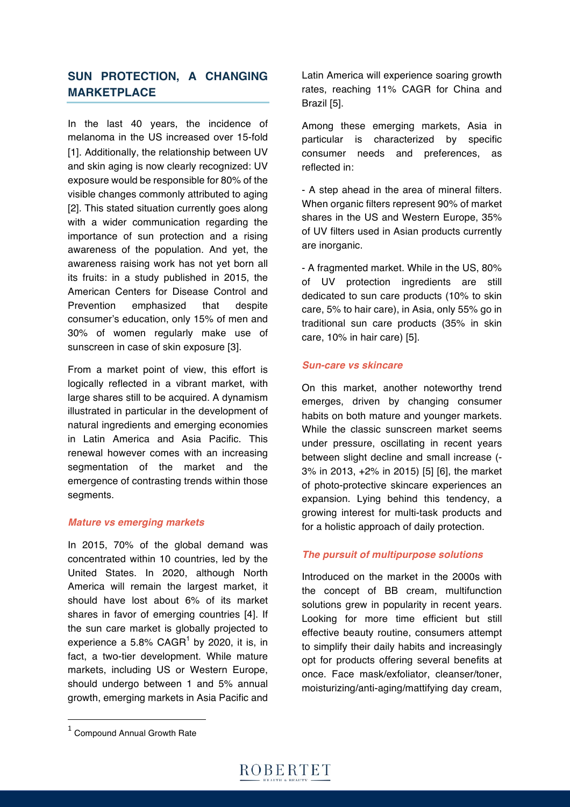# **SUN PROTECTION, A CHANGING MARKETPLACE**

In the last 40 years, the incidence of melanoma in the US increased over 15-fold [1]. Additionally, the relationship between UV and skin aging is now clearly recognized: UV exposure would be responsible for 80% of the visible changes commonly attributed to aging [2]. This stated situation currently goes along with a wider communication regarding the importance of sun protection and a rising awareness of the population. And yet, the awareness raising work has not yet born all its fruits: in a study published in 2015, the American Centers for Disease Control and Prevention emphasized that despite consumer's education, only 15% of men and 30% of women regularly make use of sunscreen in case of skin exposure [3].

From a market point of view, this effort is logically reflected in a vibrant market, with large shares still to be acquired. A dynamism illustrated in particular in the development of natural ingredients and emerging economies in Latin America and Asia Pacific. This renewal however comes with an increasing segmentation of the market and the emergence of contrasting trends within those segments.

#### *Mature vs emerging markets*

In 2015, 70% of the global demand was concentrated within 10 countries, led by the United States. In 2020, although North America will remain the largest market, it should have lost about 6% of its market shares in favor of emerging countries [4]. If the sun care market is globally projected to experience a 5.8% CAGR<sup>1</sup> by 2020, it is, in fact, a two-tier development. While mature markets, including US or Western Europe, should undergo between 1 and 5% annual growth, emerging markets in Asia Pacific and Latin America will experience soaring growth rates, reaching 11% CAGR for China and Brazil [5].

Among these emerging markets, Asia in particular is characterized by specific consumer needs and preferences, as reflected in:

- A step ahead in the area of mineral filters. When organic filters represent 90% of market shares in the US and Western Europe, 35% of UV filters used in Asian products currently are inorganic.

- A fragmented market. While in the US, 80% of UV protection ingredients are still dedicated to sun care products (10% to skin care, 5% to hair care), in Asia, only 55% go in traditional sun care products (35% in skin care, 10% in hair care) [5].

#### *Sun-care vs skincare*

On this market, another noteworthy trend emerges, driven by changing consumer habits on both mature and younger markets. While the classic sunscreen market seems under pressure, oscillating in recent years between slight decline and small increase (- 3% in 2013, +2% in 2015) [5] [6], the market of photo-protective skincare experiences an expansion. Lying behind this tendency, a growing interest for multi-task products and for a holistic approach of daily protection.

### *The pursuit of multipurpose solutions*

Introduced on the market in the 2000s with the concept of BB cream, multifunction solutions grew in popularity in recent years. Looking for more time efficient but still effective beauty routine, consumers attempt to simplify their daily habits and increasingly opt for products offering several benefits at once. Face mask/exfoliator, cleanser/toner, moisturizing/anti-aging/mattifying day cream,

 

<sup>1</sup> Compound Annual Growth Rate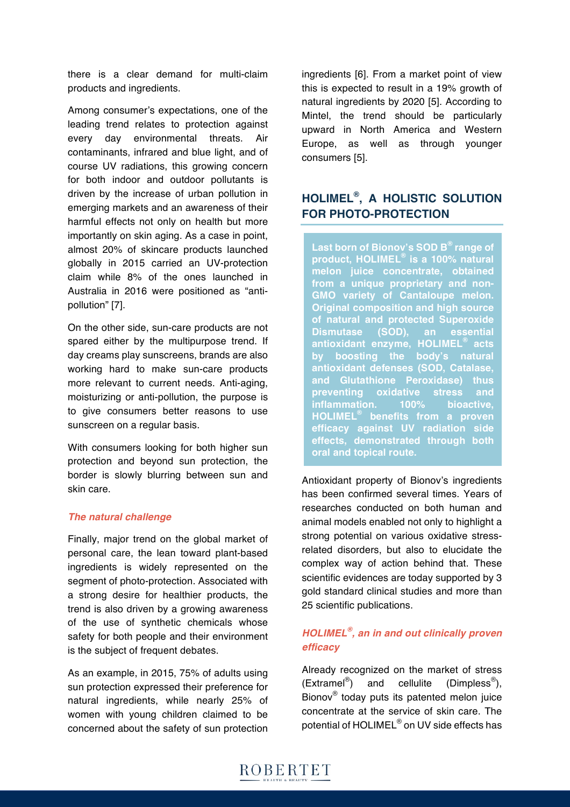there is a clear demand for multi-claim products and ingredients.

Among consumer's expectations, one of the leading trend relates to protection against every day environmental threats. Air contaminants, infrared and blue light, and of course UV radiations, this growing concern for both indoor and outdoor pollutants is driven by the increase of urban pollution in emerging markets and an awareness of their harmful effects not only on health but more importantly on skin aging. As a case in point, almost 20% of skincare products launched globally in 2015 carried an UV-protection claim while 8% of the ones launched in Australia in 2016 were positioned as "antipollution" [7].

On the other side, sun-care products are not spared either by the multipurpose trend. If day creams play sunscreens, brands are also working hard to make sun-care products more relevant to current needs. Anti-aging, moisturizing or anti-pollution, the purpose is to give consumers better reasons to use sunscreen on a regular basis.

With consumers looking for both higher sun protection and beyond sun protection, the border is slowly blurring between sun and skin care.

#### *The natural challenge*

Finally, major trend on the global market of personal care, the lean toward plant-based ingredients is widely represented on the segment of photo-protection. Associated with a strong desire for healthier products, the trend is also driven by a growing awareness of the use of synthetic chemicals whose safety for both people and their environment is the subject of frequent debates.

As an example, in 2015, 75% of adults using sun protection expressed their preference for natural ingredients, while nearly 25% of women with young children claimed to be concerned about the safety of sun protection

ingredients [6]. From a market point of view this is expected to result in a 19% growth of natural ingredients by 2020 [5]. According to Mintel, the trend should be particularly upward in North America and Western Europe, as well as through younger consumers [5].

# **HOLIMEL®, A HOLISTIC SOLUTION FOR PHOTO-PROTECTION**

**Last born of Bionov's SOD B® range of product, HOLIMEL® is a 100% natural melon juice concentrate, obtained from a unique proprietary and non-GMO variety of Cantaloupe melon. Original composition and high source of natural and protected Superoxide Dismutase (SOD), an essential antioxidant enzyme, HOLIMEL® acts by boosting the body's natural antioxidant defenses (SOD, Catalase, and Glutathione Peroxidase) thus preventing oxidative stress and inflammation. 100% bioactive, HOLIMEL® benefits from a proven efficacy against UV radiation side effects, demonstrated through both oral and topical route.**

Antioxidant property of Bionov's ingredients has been confirmed several times. Years of researches conducted on both human and animal models enabled not only to highlight a strong potential on various oxidative stressrelated disorders, but also to elucidate the complex way of action behind that. These scientific evidences are today supported by 3 gold standard clinical studies and more than 25 scientific publications.

## *HOLIMEL®, an in and out clinically proven efficacy*

Already recognized on the market of stress  $(Extramel^{\circledR})$  and cellulite (Dimpless $^{\circledR}$ ), Bionov<sup>®</sup> today puts its patented melon juice concentrate at the service of skin care. The potential of HOLIMEL<sup>®</sup> on UV side effects has

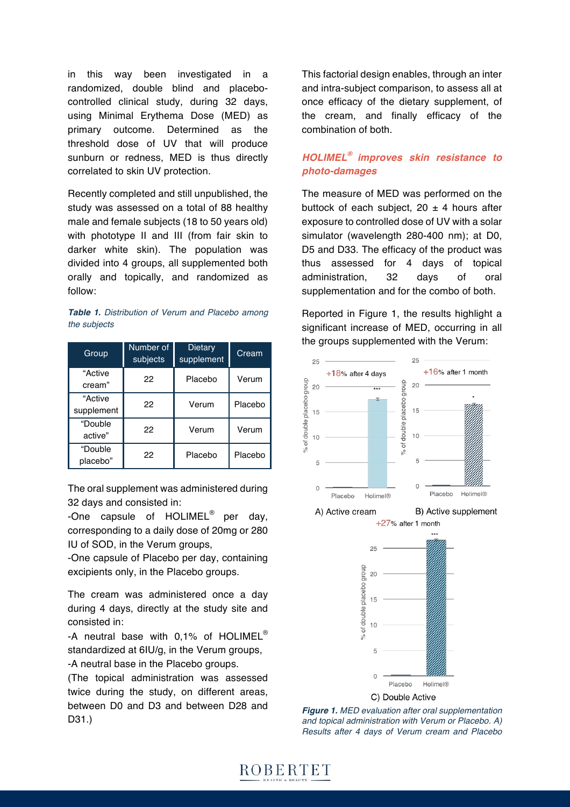in this way been investigated in a randomized, double blind and placebocontrolled clinical study, during 32 days, using Minimal Erythema Dose (MED) as primary outcome. Determined as the threshold dose of UV that will produce sunburn or redness, MED is thus directly correlated to skin UV protection.

Recently completed and still unpublished, the study was assessed on a total of 88 healthy male and female subjects (18 to 50 years old) with phototype II and III (from fair skin to darker white skin). The population was divided into 4 groups, all supplemented both orally and topically, and randomized as follow:

*Table 1. Distribution of Verum and Placebo among the subjects*

| Group                 | Number of<br>subjects | Dietary<br>supplement | Cream   |
|-----------------------|-----------------------|-----------------------|---------|
| "Active<br>cream"     | 22                    | Placebo               | Verum   |
| "Active<br>supplement | 22                    | Verum                 | Placebo |
| "Double<br>active"    | 22                    | Verum                 | Verum   |
| "Double<br>placebo"   | 22                    | Placebo               | Placebo |

The oral supplement was administered during 32 days and consisted in:

-One capsule of HOLIMEL<sup>®</sup> per dav. corresponding to a daily dose of 20mg or 280 IU of SOD, in the Verum groups,

-One capsule of Placebo per day, containing excipients only, in the Placebo groups.

The cream was administered once a day during 4 days, directly at the study site and consisted in:

-A neutral base with 0,1% of HOLIMEL<sup>®</sup> standardized at 6IU/g, in the Verum groups,

-A neutral base in the Placebo groups.

(The topical administration was assessed twice during the study, on different areas, between D0 and D3 and between D28 and D31.)

This factorial design enables, through an inter and intra-subject comparison, to assess all at once efficacy of the dietary supplement, of the cream, and finally efficacy of the combination of both.

## *HOLIMEL® improves skin resistance to photo-damages*

The measure of MED was performed on the buttock of each subject,  $20 \pm 4$  hours after exposure to controlled dose of UV with a solar simulator (wavelength 280-400 nm); at D0, D5 and D33. The efficacy of the product was thus assessed for 4 days of topical administration, 32 days of oral supplementation and for the combo of both.

Reported in Figure 1, the results highlight a significant increase of MED, occurring in all the groups supplemented with the Verum:



Placebo C) Double Active

**Holimel®** 

 $\Omega$ 

*Figure 1. MED evaluation after oral supplementation and topical administration with Verum or Placebo. A) Results after 4 days of Verum cream and Placebo*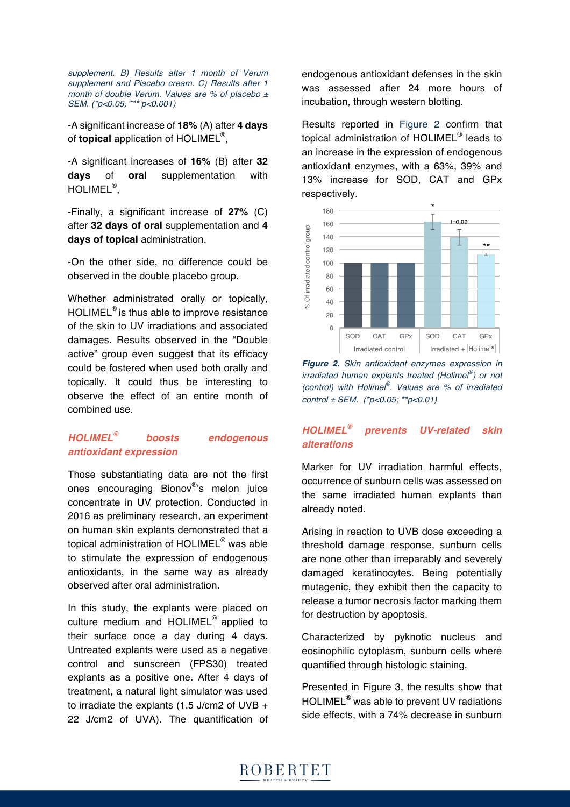*supplement. B) Results after 1 month of Verum supplement and Placebo cream. C) Results after 1 month of double Verum. Values are % of placebo ± SEM. (\*p<0.05, \*\*\* p<0.001)*

-A significant increase of **18%** (A) after **4 days** of **topical** application of HOLIMEL®,

-A significant increases of **16%** (B) after **32 days** of **oral** supplementation with HOLIMEL®,

-Finally, a significant increase of **27%** (C) after **32 days of oral** supplementation and **4 days of topical** administration.

-On the other side, no difference could be observed in the double placebo group.

Whether administrated orally or topically, HOLIMEL® is thus able to improve resistance of the skin to UV irradiations and associated damages. Results observed in the "Double active" group even suggest that its efficacy could be fostered when used both orally and topically. It could thus be interesting to observe the effect of an entire month of combined use.

## *HOLIMEL® boosts endogenous antioxidant expression*

Those substantiating data are not the first ones encouraging Bionov®'s melon juice concentrate in UV protection. Conducted in 2016 as preliminary research, an experiment on human skin explants demonstrated that a topical administration of HOLIMEL® was able to stimulate the expression of endogenous antioxidants, in the same way as already observed after oral administration.

In this study, the explants were placed on culture medium and HOLIMEL® applied to their surface once a day during 4 days. Untreated explants were used as a negative control and sunscreen (FPS30) treated explants as a positive one. After 4 days of treatment, a natural light simulator was used to irradiate the explants (1.5 J/cm2 of UVB + 22 J/cm2 of UVA). The quantification of endogenous antioxidant defenses in the skin was assessed after 24 more hours of incubation, through western blotting.

Results reported in Figure 2 confirm that topical administration of HOLIMEL® leads to an increase in the expression of endogenous antioxidant enzymes, with a 63%, 39% and 13% increase for SOD, CAT and GPx respectively.



*Figure 2. Skin antioxidant enzymes expression in irradiated human explants treated (Holimel® ) or not (control) with Holimel® . Values are % of irradiated control ± SEM. (\*p<0.05; \*\*p<0.01)* 

## *HOLIMEL® prevents UV-related skin alterations*

Marker for UV irradiation harmful effects, occurrence of sunburn cells was assessed on the same irradiated human explants than already noted.

Arising in reaction to UVB dose exceeding a threshold damage response, sunburn cells are none other than irreparably and severely damaged keratinocytes. Being potentially mutagenic, they exhibit then the capacity to release a tumor necrosis factor marking them for destruction by apoptosis.

Characterized by pyknotic nucleus and eosinophilic cytoplasm, sunburn cells where quantified through histologic staining.

Presented in Figure 3, the results show that HOLIMEL® was able to prevent UV radiations side effects, with a 74% decrease in sunburn

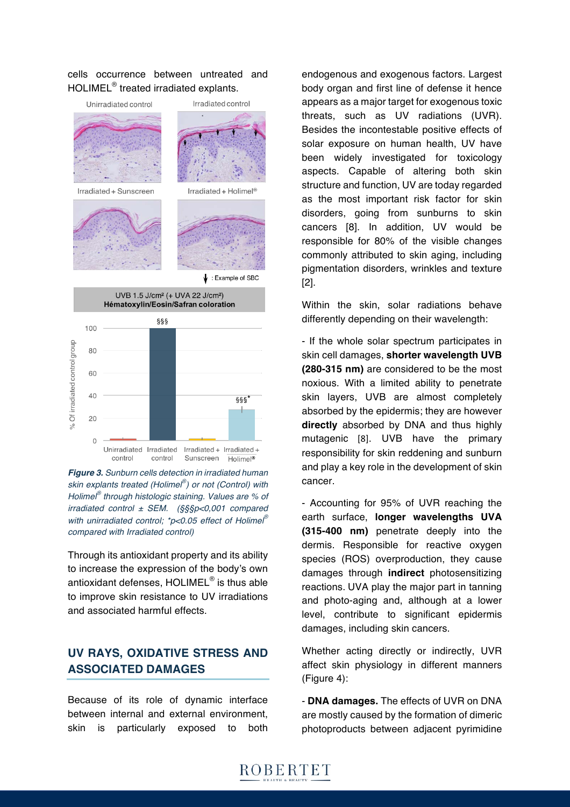#### cells occurrence between untreated and HOLIMEL® treated irradiated explants.



*Figure 3. Sunburn cells detection in irradiated human skin explants treated (Holimel® ) or not (Control) with Holimel® through histologic staining. Values are % of irradiated control ± SEM. (§§§p<0,001 compared with unirradiated control; \*p<0.05 effect of Holimel® compared with Irradiated control)*

Through its antioxidant property and its ability to increase the expression of the body's own antioxidant defenses, HOLIMEL® is thus able to improve skin resistance to UV irradiations and associated harmful effects.

# **UV RAYS, OXIDATIVE STRESS AND ASSOCIATED DAMAGES**

Because of its role of dynamic interface between internal and external environment, skin is particularly exposed to both

endogenous and exogenous factors. Largest body organ and first line of defense it hence appears as a major target for exogenous toxic threats, such as UV radiations (UVR). Besides the incontestable positive effects of solar exposure on human health, UV have been widely investigated for toxicology aspects. Capable of altering both skin structure and function, UV are today regarded as the most important risk factor for skin disorders, going from sunburns to skin cancers [8]. In addition, UV would be responsible for 80% of the visible changes commonly attributed to skin aging, including pigmentation disorders, wrinkles and texture [2].

Within the skin, solar radiations behave differently depending on their wavelength:

- If the whole solar spectrum participates in skin cell damages, **shorter wavelength UVB (280-315 nm)** are considered to be the most noxious. With a limited ability to penetrate skin layers, UVB are almost completely absorbed by the epidermis; they are however **directly** absorbed by DNA and thus highly mutagenic [8]. UVB have the primary responsibility for skin reddening and sunburn and play a key role in the development of skin cancer.

- Accounting for 95% of UVR reaching the earth surface, **longer wavelengths UVA (315-400 nm)** penetrate deeply into the dermis. Responsible for reactive oxygen species (ROS) overproduction, they cause damages through **indirect** photosensitizing reactions. UVA play the major part in tanning and photo-aging and, although at a lower level, contribute to significant epidermis damages, including skin cancers.

Whether acting directly or indirectly, UVR affect skin physiology in different manners (Figure 4):

- **DNA damages.** The effects of UVR on DNA are mostly caused by the formation of dimeric photoproducts between adjacent pyrimidine

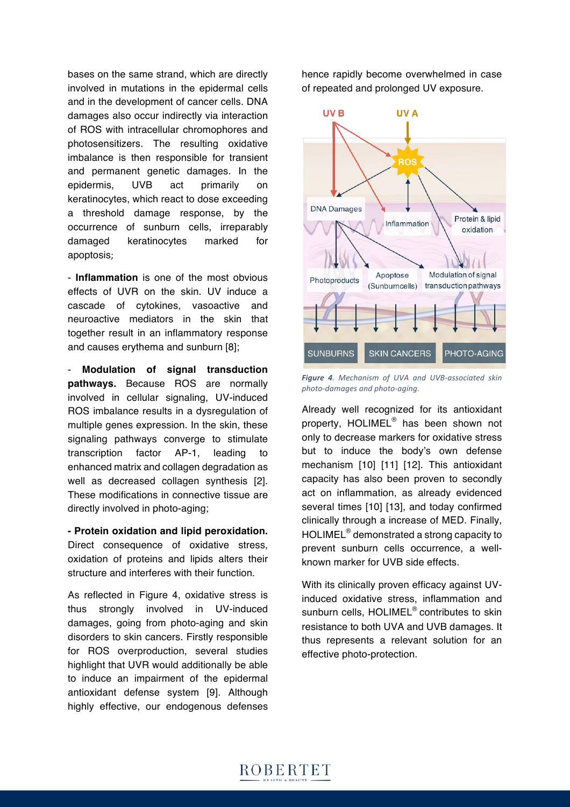bases on the same strand, which are directly involved in mutations in the epidermal cells and in the development of cancer cells. DNA damages also occur indirectly via interaction of ROS with intracellular chromophores and photosensitizers. The resulting oxidative imbalance is then responsible for transient and permanent genetic damages. In the epidermis, UVB act primarily on keratinocytes, which react to dose exceeding a threshold damage response, by the occurrence of sunburn cells, irreparably damaged keratinocytes marked for apoptosis;

- **Inflammation** is one of the most obvious effects of UVR on the skin. UV induce a cascade of cytokines, vasoactive and neuroactive mediators in the skin that together result in an inflammatory response and causes erythema and sunburn [8];

- **Modulation of signal transduction pathways.** Because ROS are normally involved in cellular signaling, UV-induced ROS imbalance results in a dysregulation of multiple genes expression. In the skin, these signaling pathways converge to stimulate transcription factor AP-1, leading to enhanced matrix and collagen degradation as well as decreased collagen synthesis [2]. These modifications in connective tissue are directly involved in photo-aging;

**- Protein oxidation and lipid peroxidation.** Direct consequence of oxidative stress, oxidation of proteins and lipids alters their structure and interferes with their function.

As reflected in Figure 4, oxidative stress is thus strongly involved in UV-induced damages, going from photo-aging and skin disorders to skin cancers. Firstly responsible for ROS overproduction, several studies highlight that UVR would additionally be able to induce an impairment of the epidermal antioxidant defense system [9]. Although highly effective, our endogenous defenses

hence rapidly become overwhelmed in case of repeated and prolonged UV exposure.



*Figure 4. Mechanism of UVA and UVB-associated skin photo-damages and photo-aging.*

Already well recognized for its antioxidant property, HOLIMEL® has been shown not only to decrease markers for oxidative stress but to induce the body's own defense mechanism [10] [11] [12]. This antioxidant capacity has also been proven to secondly act on inflammation, as already evidenced several times [10] [13], and today confirmed clinically through a increase of MED. Finally, HOLIMEL<sup>®</sup> demonstrated a strong capacity to prevent sunburn cells occurrence, a wellknown marker for UVB side effects.

With its clinically proven efficacy against UVinduced oxidative stress, inflammation and sunburn cells, HOLIMEL<sup>®</sup> contributes to skin resistance to both UVA and UVB damages. It thus represents a relevant solution for an effective photo-protection.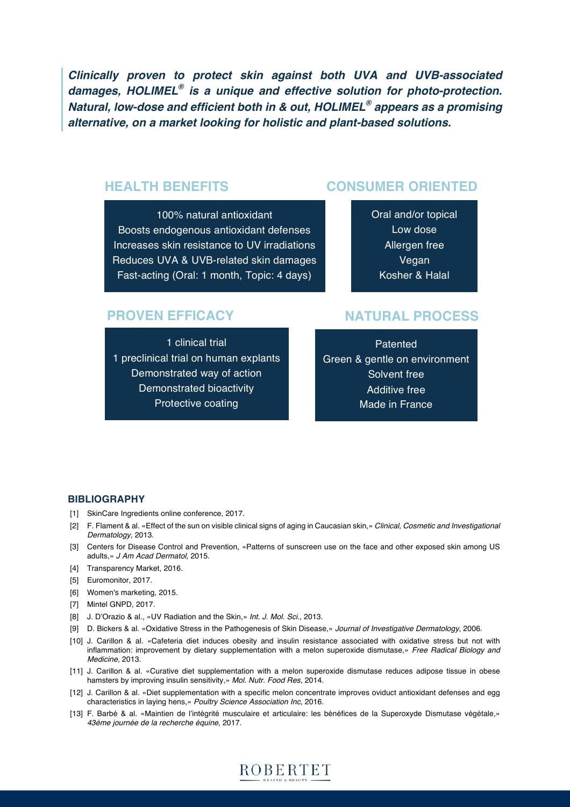*Clinically proven to protect skin against both UVA and UVB-associated damages, HOLIMEL® is a unique and effective solution for photo-protection. Natural, low-dose and efficient both in & out, HOLIMEL® appears as a promising alternative, on a market looking for holistic and plant-based solutions.*

# **HEALTH BENEFITS**

#### 100% natural antioxidant

Boosts endogenous antioxidant defenses Increases skin resistance to UV irradiations Reduces UVA & UVB-related skin damages Fast-acting (Oral: 1 month, Topic: 4 days)

# **CONSUMER ORIENTED**

Oral and/or topical Low dose Allergen free Vegan Kosher & Halal

## **PROVEN EFFICACY**

1 clinical trial 1 preclinical trial on human explants Demonstrated way of action Demonstrated bioactivity Protective coating

## **NATURAL PROCESS**

**Patented** Green & gentle on environment Solvent free Additive free Made in France

#### **BIBLIOGRAPHY**

- [1] SkinCare Ingredients online conference, 2017.
- [2] F. Flament & al. «Effect of the sun on visible clinical signs of aging in Caucasian skin,» *Clinical, Cosmetic and Investigational Dermatology,* 2013.
- [3] Centers for Disease Control and Prevention, «Patterns of sunscreen use on the face and other exposed skin among US adults,» *J Am Acad Dermatol,* 2015.
- [4] Transparency Market, 2016.
- [5] Euromonitor, 2017.
- [6] Women's marketing, 2015.
- [7] Mintel GNPD, 2017.
- [8] J. D'Orazio & al., «UV Radiation and the Skin,» *Int. J. Mol. Sci.*, 2013.
- [9] D. Bickers & al. «Oxidative Stress in the Pathogenesis of Skin Disease,» *Journal of Investigative Dermatology*, 2006.
- [10] J. Carillon & al. «Cafeteria diet induces obesity and insulin resistance associated with oxidative stress but not with inflammation: improvement by dietary supplementation with a melon superoxide dismutase,» *Free Radical Biology and Medicine,* 2013.
- [11] J. Carillon & al. «Curative diet supplementation with a melon superoxide dismutase reduces adipose tissue in obese hamsters by improving insulin sensitivity,» *Mol. Nutr. Food Res,* 2014.
- [12] J. Carillon & al. «Diet supplementation with a specific melon concentrate improves oviduct antioxidant defenses and egg characteristics in laying hens,» *Poultry Science Association Inc,* 2016.
- [13] F. Barbé & al. «Maintien de l'intégrité musculaire et articulaire: les bénéfices de la Superoxyde Dismutase végétale,» *43ème journée de la recherche équine*, 2017.